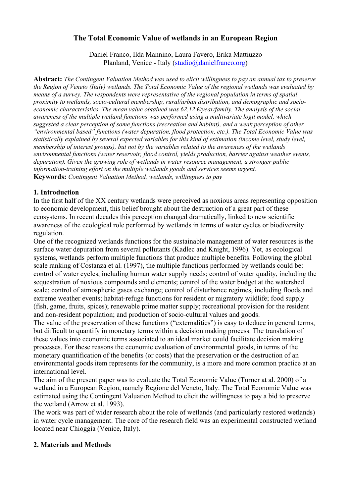# **The Total Economic Value of wetlands in an European Region**

Daniel Franco, Ilda Mannino, Laura Favero, Erika Mattiuzzo Planland, Venice - Italy (studio@danielfranco.org)

**Abstract:** *The Contingent Valuation Method was used to elicit willingness to pay an annual tax to preserve the Region of Veneto (Italy) wetlands. The Total Economic Value of the regional wetlands was evaluated by means of a survey. The respondents were representative of the regional population in terms of spatial proximity to wetlands, socio-cultural membership, rural/urban distribution, and demographic and socioeconomic characteristics. The mean value obtained was 62.12 €/year/family. The analysis of the social awareness of the multiple wetland functions was performed using a multivariate logit model, which suggested a clear perception of some functions (recreation and habitat), and a weak perception of other "environmental based" functions (water depuration, flood protection, etc.). The Total Economic Value was statistically explained by several expected variables for this kind of estimation (income level, study level, membership of interest groups), but not by the variables related to the awareness of the wetlands environmental functions (water reservoir, flood control, yields production, barrier against weather events, depuration). Given the growing role of wetlands in water resource management, a stronger public information-training effort on the multiple wetlands goods and services seems urgent.*  **Keywords:** *Contingent Valuation Method, wetlands, willingness to pay*

### **1. Introduction**

In the first half of the XX century wetlands were perceived as noxious areas representing opposition to economic development, this belief brought about the destruction of a great part of these ecosystems. In recent decades this perception changed dramatically, linked to new scientific awareness of the ecological role performed by wetlands in terms of water cycles or biodiversity regulation.

One of the recognized wetlands functions for the sustainable management of water resources is the surface water depuration from several pollutants (Kadlec and Knight, 1996). Yet, as ecological systems, wetlands perform multiple functions that produce multiple benefits. Following the global scale ranking of Costanza et al. (1997), the multiple functions performed by wetlands could be: control of water cycles, including human water supply needs; control of water quality, including the sequestration of noxious compounds and elements; control of the water budget at the watershed scale; control of atmospheric gases exchange; control of disturbance regimes, including floods and extreme weather events; habitat-refuge functions for resident or migratory wildlife; food supply (fish, game, fruits, spices); renewable prime matter supply; recreational provision for the resident and non-resident population; and production of socio-cultural values and goods.

The value of the preservation of these functions ("externalities") is easy to deduce in general terms, but difficult to quantify in monetary terms within a decision making process. The translation of these values into economic terms associated to an ideal market could facilitate decision making processes. For these reasons the economic evaluation of environmental goods, in terms of the monetary quantification of the benefits (or costs) that the preservation or the destruction of an environmental goods item represents for the community, is a more and more common practice at an international level.

The aim of the present paper was to evaluate the Total Economic Value (Turner at al. 2000) of a wetland in a European Region, namely Regione del Veneto, Italy. The Total Economic Value was estimated using the Contingent Valuation Method to elicit the willingness to pay a bid to preserve the wetland (Arrow et al. 1993).

The work was part of wider research about the role of wetlands (and particularly restored wetlands) in water cycle management. The core of the research field was an experimental constructed wetland located near Chioggia (Venice, Italy).

# **2. Materials and Methods**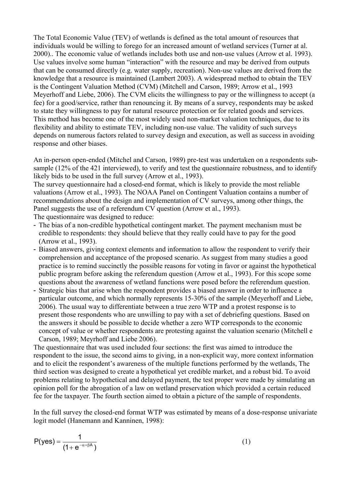The Total Economic Value (TEV) of wetlands is defined as the total amount of resources that individuals would be willing to forego for an increased amount of wetland services (Turner at al. 2000).. The economic value of wetlands includes both use and non-use values (Arrow et al. 1993). Use values involve some human "interaction" with the resource and may be derived from outputs that can be consumed directly (e.g. water supply, recreation). Non-use values are derived from the knowledge that a resource is maintained (Lambert 2003). A widespread method to obtain the TEV is the Contingent Valuation Method (CVM) (Mitchell and Carson, 1989; Arrow et al., 1993 Meyerhoff and Liebe, 2006). The CVM elicits the willingness to pay or the willingness to accept (a fee) for a good/service, rather than renouncing it. By means of a survey, respondents may be asked to state they willingness to pay for natural resource protection or for related goods and services. This method has become one of the most widely used non-market valuation techniques, due to its flexibility and ability to estimate TEV, including non-use value. The validity of such surveys depends on numerous factors related to survey design and execution, as well as success in avoiding response and other biases.

An in-person open-ended (Mitchel and Carson, 1989) pre-test was undertaken on a respondents subsample (12% of the 421 interviewed), to verify and test the questionnaire robustness, and to identify likely bids to be used in the full survey (Arrow et al., 1993).

The survey questionnaire had a closed-end format, which is likely to provide the most reliable valuations (Arrow et al., 1993). The NOAA Panel on Contingent Valuation contains a number of recommendations about the design and implementation of CV surveys, among other things, the Panel suggests the use of a referendum CV question (Arrow et al., 1993). The questionnaire was designed to reduce:

- The bias of a non-credible hypothetical contingent market. The payment mechanism must be credible to respondents: they should believe that they really could have to pay for the good (Arrow et al., 1993).
- Biased answers, giving context elements and information to allow the respondent to verify their comprehension and acceptance of the proposed scenario. As suggest from many studies a good practice is to remind succinctly the possible reasons for voting in favor or against the hypothetical public program before asking the referendum question (Arrow et al., 1993). For this scope some questions about the awareness of wetland functions were posed before the referendum question.
- Strategic bias that arise when the respondent provides a biased answer in order to influence a particular outcome, and which normally represents 15-30% of the sample (Meyerhoff and Liebe, 2006). The usual way to differentiate between a true zero WTP and a protest response is to present those respondents who are unwilling to pay with a set of debriefing questions. Based on the answers it should be possible to decide whether a zero WTP corresponds to the economic concept of value or whether respondents are protesting against the valuation scenario (Mitchell e Carson, 1989; Meyrhoff and Liebe 2006).

The questionnaire that was used included four sections: the first was aimed to introduce the respondent to the issue, the second aims to giving, in a non-explicit way, more context information and to elicit the respondent's awareness of the multiple functions performed by the wetlands, The third section was designed to create a hypothetical yet credible market, and a robust bid. To avoid problems relating to hypothetical and delayed payment, the test proper were made by simulating an opinion poll for the abrogation of a law on wetland preservation which provided a certain reduced fee for the taxpayer. The fourth section aimed to obtain a picture of the sample of respondents.

In the full survey the closed-end format WTP was estimated by means of a dose-response univariate logit model (Hanemann and Kanninen, 1998):

$$
P(yes) = \frac{1}{(1 + e^{-\alpha + \beta A})}
$$
 (1)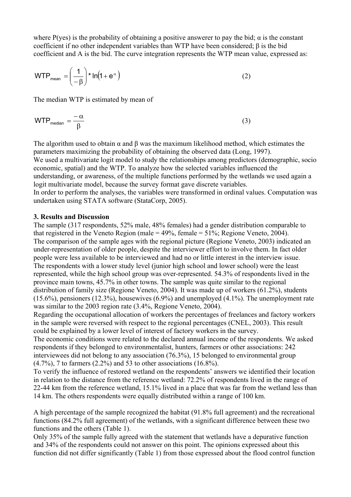where P(yes) is the probability of obtaining a positive answerer to pay the bid;  $\alpha$  is the constant coefficient if no other independent variables than WTP have been considered; β is the bid coefficient and A is the bid. The curve integration represents the WTP mean value, expressed as:

$$
WTP_{mean} = \left(\frac{1}{-\beta}\right) * ln(1 + e^{\alpha})
$$
 (2)

The median WTP is estimated by mean of

$$
WTP_{\text{median}} = \frac{-\alpha}{\beta} \tag{3}
$$

The algorithm used to obtain  $\alpha$  and  $\beta$  was the maximum likelihood method, which estimates the parameters maximizing the probability of obtaining the observed data (Long, 1997). We used a multivariate logit model to study the relationships among predictors (demographic, socion economic, spatial) and the WTP. To analyze how the selected variables influenced the understanding, or awareness, of the multiple functions performed by the wetlands we used again a logit multivariate model, because the survey format gave discrete variables. In order to perform the analyses, the variables were transformed in ordinal values. Computation was undertaken using STATA software (StataCorp, 2005).

#### **3. Results and Discussion**

The sample (317 respondents, 52% male, 48% females) had a gender distribution comparable to that registered in the Veneto Region (male =  $49\%$ , female =  $51\%$ ; Regione Veneto, 2004). The comparison of the sample ages with the regional picture (Regione Veneto, 2003) indicated an under-representation of older people, despite the interviewer effort to involve them. In fact older people were less available to be interviewed and had no or little interest in the interview issue. The respondents with a lower study level (junior high school and lower school) were the least represented, while the high school group was over-represented. 54.3% of respondents lived in the province main towns, 45.7% in other towns. The sample was quite similar to the regional distribution of family size (Regione Veneto, 2004). It was made up of workers (61.2%), students (15.6%), pensioners (12.3%), housewives (6.9%) and unemployed (4.1%). The unemployment rate was similar to the 2003 region rate (3.4%, Regione Veneto, 2004).

Regarding the occupational allocation of workers the percentages of freelances and factory workers in the sample were reversed with respect to the regional percentages (CNEL, 2003). This result could be explained by a lower level of interest of factory workers in the survey.

The economic conditions were related to the declared annual income of the respondents. We asked respondents if they belonged to environmentalist, hunters, farmers or other associations: 242 interviewees did not belong to any association (76.3%), 15 belonged to environmental group  $(4.7\%)$ , 7 to farmers  $(2.2\%)$  and 53 to other associations  $(16.8\%)$ .

To verify the influence of restored wetland on the respondents' answers we identified their location in relation to the distance from the reference wetland: 72.2% of respondents lived in the range of 22-44 km from the reference wetland, 15.1% lived in a place that was far from the wetland less than 14 km. The others respondents were equally distributed within a range of 100 km.

A high percentage of the sample recognized the habitat (91.8% full agreement) and the recreational functions (84.2% full agreement) of the wetlands, with a significant difference between these two functions and the others (Table 1).

Only 35% of the sample fully agreed with the statement that wetlands have a depurative function and 34% of the respondents could not answer on this point. The opinions expressed about this function did not differ significantly (Table 1) from those expressed about the flood control function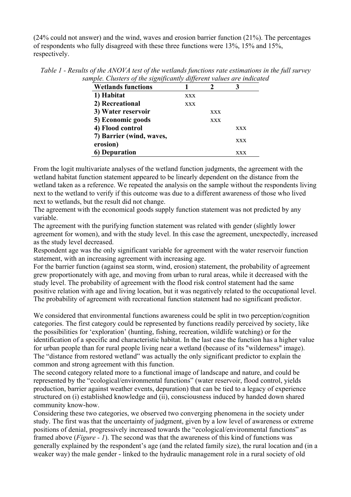(24% could not answer) and the wind, waves and erosion barrier function (21%). The percentages of respondents who fully disagreed with these three functions were 13%, 15% and 15%, respectively.

| <b>Wetlands functions</b>            |            |            |            |
|--------------------------------------|------------|------------|------------|
| 1) Habitat                           | <b>XXX</b> |            |            |
| 2) Recreational                      | <b>XXX</b> |            |            |
| 3) Water reservoir                   |            | <b>XXX</b> |            |
| 5) Economic goods                    |            | <b>XXX</b> |            |
| 4) Flood control                     |            |            | <b>XXX</b> |
| 7) Barrier (wind, waves,<br>erosion) |            |            | <b>XXX</b> |
| <b>6)</b> Depuration                 |            |            | XXX        |

*Table 1 - Results of the ANOVA test of the wetlands functions rate estimations in the full survey sample. Clusters of the significantly different values are indicated* 

From the logit multivariate analyses of the wetland function judgments, the agreement with the wetland habitat function statement appeared to be linearly dependent on the distance from the wetland taken as a reference. We repeated the analysis on the sample without the respondents living next to the wetland to verify if this outcome was due to a different awareness of those who lived next to wetlands, but the result did not change.

The agreement with the economical goods supply function statement was not predicted by any variable.

The agreement with the purifying function statement was related with gender (slightly lower agreement for women), and with the study level. In this case the agreement, unexpectedly, increased as the study level decreased.

Respondent age was the only significant variable for agreement with the water reservoir function statement, with an increasing agreement with increasing age.

For the barrier function (against sea storm, wind, erosion) statement, the probability of agreement grew proportionately with age, and moving from urban to rural areas, while it decreased with the study level. The probability of agreement with the flood risk control statement had the same positive relation with age and living location, but it was negatively related to the occupational level. The probability of agreement with recreational function statement had no significant predictor.

We considered that environmental functions awareness could be split in two perception/cognition categories. The first category could be represented by functions readily perceived by society, like the possibilities for 'exploration' (hunting, fishing, recreation, wildlife watching) or for the identification of a specific and characteristic habitat. In the last case the function has a higher value for urban people than for rural people living near a wetland (because of its "wilderness" image). The "distance from restored wetland" was actually the only significant predictor to explain the common and strong agreement with this function.

The second category related more to a functional image of landscape and nature, and could be represented by the "ecological/environmental functions" (water reservoir, flood control, yields production, barrier against weather events, depuration) that can be tied to a legacy of experience structured on (i) established knowledge and (ii), consciousness induced by handed down shared community know-how.

Considering these two categories, we observed two converging phenomena in the society under study. The first was that the uncertainty of judgment, given by a low level of awareness or extreme positions of denial, progressively increased towards the "ecological/environmental functions" as framed above (*Figure - 1*). The second was that the awareness of this kind of functions was generally explained by the respondent's age (and the related family size), the rural location and (in a weaker way) the male gender - linked to the hydraulic management role in a rural society of old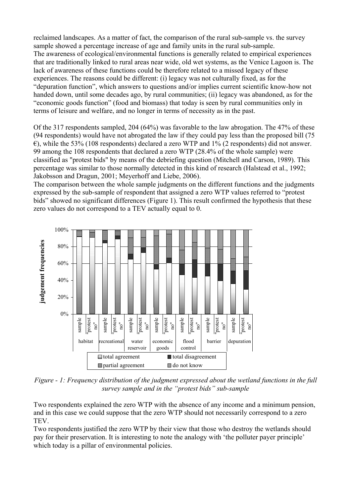reclaimed landscapes. As a matter of fact, the comparison of the rural sub-sample vs. the survey sample showed a percentage increase of age and family units in the rural sub-sample. The awareness of ecological/environmental functions is generally related to empirical experiences that are traditionally linked to rural areas near wide, old wet systems, as the Venice Lagoon is. The lack of awareness of these functions could be therefore related to a missed legacy of these experiences. The reasons could be different: (i) legacy was not culturally fixed, as for the "depuration function", which answers to questions and/or implies current scientific know-how not handed down, until some decades ago, by rural communities; (ii) legacy was abandoned, as for the "economic goods function" (food and biomass) that today is seen by rural communities only in terms of leisure and welfare, and no longer in terms of necessity as in the past.

Of the 317 respondents sampled, 204 (64%) was favorable to the law abrogation. The 47% of these (94 respondents) would have not abrogated the law if they could pay less than the proposed bill (75  $\epsilon$ ), while the 53% (108 respondents) declared a zero WTP and 1% (2 respondents) did not answer. 99 among the 108 respondents that declared a zero WTP (28.4% of the whole sample) were classified as "protest bids" by means of the debriefing question (Mitchell and Carson, 1989). This percentage was similar to those normally detected in this kind of research (Halstead et al., 1992; Jakobsson and Dragun, 2001; Meyerhoff and Liebe, 2006).

The comparison between the whole sample judgments on the different functions and the judgments expressed by the sub-sample of respondent that assigned a zero WTP values referred to "protest bids" showed no significant differences (Figure 1). This result confirmed the hypothesis that these zero values do not correspond to a TEV actually equal to 0.



*Figure - 1: Frequency distribution of the judgment expressed about the wetland functions in the full survey sample and in the "protest bids" sub-sample* 

Two respondents explained the zero WTP with the absence of any income and a minimum pension, and in this case we could suppose that the zero WTP should not necessarily correspond to a zero **TEV** 

Two respondents justified the zero WTP by their view that those who destroy the wetlands should pay for their preservation. It is interesting to note the analogy with 'the polluter payer principle' which today is a pillar of environmental policies.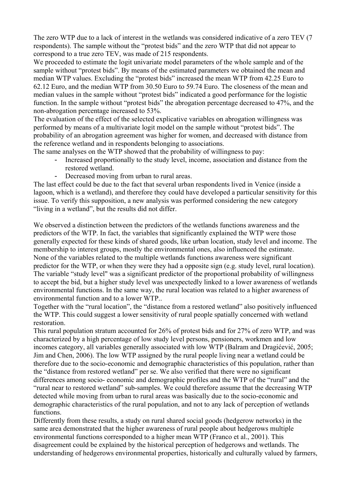The zero WTP due to a lack of interest in the wetlands was considered indicative of a zero TEV (7 respondents). The sample without the "protest bids" and the zero WTP that did not appear to correspond to a true zero TEV, was made of 215 respondents.

We proceeded to estimate the logit univariate model parameters of the whole sample and of the sample without "protest bids". By means of the estimated parameters we obtained the mean and median WTP values. Excluding the "protest bids" increased the mean WTP from 42.25 Euro to 62.12 Euro, and the median WTP from 30.50 Euro to 59.74 Euro. The closeness of the mean and median values in the sample without "protest bids" indicated a good performance for the logistic function. In the sample without "protest bids" the abrogation percentage decreased to 47%, and the non-abrogation percentage increased to 53%.

The evaluation of the effect of the selected explicative variables on abrogation willingness was performed by means of a multivariate logit model on the sample without "protest bids". The probability of an abrogation agreement was higher for women, and decreased with distance from the reference wetland and in respondents belonging to associations.

The same analyses on the WTP showed that the probability of willingness to pay:

- Increased proportionally to the study level, income, association and distance from the restored wetland.
- Decreased moving from urban to rural areas.

The last effect could be due to the fact that several urban respondents lived in Venice (inside a lagoon, which is a wetland), and therefore they could have developed a particular sensitivity for this issue. To verify this supposition, a new analysis was performed considering the new category "living in a wetland", but the results did not differ.

We observed a distinction between the predictors of the wetlands functions awareness and the predictors of the WTP. In fact, the variables that significantly explained the WTP were those generally expected for these kinds of shared goods, like urban location, study level and income. The membership to interest groups, mostly the environmental ones, also influenced the estimate. None of the variables related to the multiple wetlands functions awareness were significant predictor for the WTP, or when they were they had a opposite sign (e.g. study level, rural location). The variable "study level" was a significant predictor of the proportional probability of willingness to accept the bid, but a higher study level was unexpectedly linked to a lower awareness of wetlands environmental functions. In the same way, the rural location was related to a higher awareness of environmental function and to a lower WTP..

Together with the "rural location", the "distance from a restored wetland" also positively influenced the WTP. This could suggest a lower sensitivity of rural people spatially concerned with wetland restoration.

This rural population stratum accounted for 26% of protest bids and for 27% of zero WTP, and was characterized by a high percentage of low study level persons, pensioners, workmen and low incomes category, all variables generally associated with low WTP (Balram and Dragićević, 2005; Jim and Chen, 2006). The low WTP assigned by the rural people living near a wetland could be therefore due to the socio-economic and demographic characteristics of this population, rather than the "distance from restored wetland" per se. We also verified that there were no significant differences among socio- economic and demographic profiles and the WTP of the "rural" and the "rural near to restored wetland" sub-samples. We could therefore assume that the decreasing WTP detected while moving from urban to rural areas was basically due to the socio-economic and demographic characteristics of the rural population, and not to any lack of perception of wetlands functions.

Differently from these results, a study on rural shared social goods (hedgerow networks) in the same area demonstrated that the higher awareness of rural people about hedgerows multiple environmental functions corresponded to a higher mean WTP (Franco et al., 2001). This disagreement could be explained by the historical perception of hedgerows and wetlands. The understanding of hedgerows environmental properties, historically and culturally valued by farmers,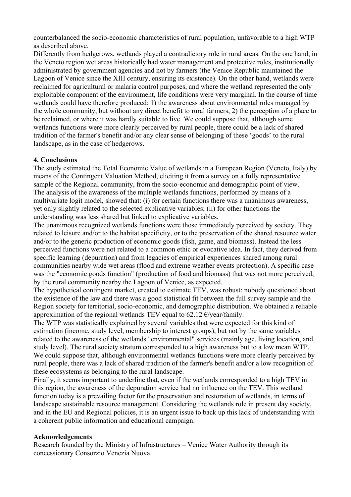counterbalanced the socio-economic characteristics of rural population, unfavorable to a high WTP as described above.

Differently from hedgerows, wetlands played a contradictory role in rural areas. On the one hand, in the Veneto region wet areas historically had water management and protective roles, institutionally administrated by government agencies and not by farmers (the Venice Republic maintained the Lagoon of Venice since the XIII century, ensuring its existence). On the other hand, wetlands were reclaimed for agricultural or malaria control purposes, and where the wetland represented the only exploitable component of the environment, life conditions were very marginal. In the course of time wetlands could have therefore produced: 1) the awareness about environmental roles managed by the whole community, but without any direct benefit to rural farmers, 2) the perception of a place to be reclaimed, or where it was hardly suitable to live. We could suppose that, although some wetlands functions were more clearly perceived by rural people, there could be a lack of shared tradition of the farmer's benefit and/or any clear sense of belonging of these 'goods' to the rural landscape, as in the case of hedgerows.

### **4. Conclusions**

The study estimated the Total Economic Value of wetlands in a European Region (Veneto, Italy) by means of the Contingent Valuation Method, eliciting it from a survey on a fully representative sample of the Regional community, from the socio-economic and demographic point of view. The analysis of the awareness of the multiple wetlands functions, performed by means of a multivariate logit model, showed that: (i) for certain functions there was a unanimous awareness, yet only slightly related to the selected explicative variables; (ii) for other functions the understanding was less shared but linked to explicative variables.

The unanimous recognized wetlands functions were those immediately perceived by society. They related to leisure and/or to the habitat specificity, or to the preservation of the shared resource water and/or to the generic production of economic goods (fish, game, and biomass). Instead the less perceived functions were not related to a common ethic or evocative idea. In fact, they derived from specific learning (depuration) and from legacies of empirical experiences shared among rural communities nearby wide wet areas (flood and extreme weather events protection). A specific case was the "economic goods function" (production of food and biomass) that was not more perceived, by the rural community nearby the Lagoon of Venice, as expected.

The hypothetical contingent market, created to estimate TEV, was robust: nobody questioned about the existence of the law and there was a good statistical fit between the full survey sample and the Region society for territorial, socio-economic, and demographic distribution. We obtained a reliable approximation of the regional wetlands TEV equal to 62.12  $\epsilon$ /year/family.

The WTP was statistically explained by several variables that were expected for this kind of estimation (income, study level, membership to interest groups), but not by the same variables related to the awareness of the wetlands "environmental" services (mainly age, living location, and study level). The rural society stratum corresponded to a high awareness but to a low mean WTP. We could suppose that, although environmental wetlands functions were more clearly perceived by rural people, there was a lack of shared tradition of the farmer's benefit and/or a low recognition of these ecosystems as belonging to the rural landscape.

Finally, it seems important to underline that, even if the wetlands corresponded to a high TEV in this region, the awareness of the depuration service had no influence on the TEV. This wetland function today is a prevailing factor for the preservation and restoration of wetlands, in terms of landscape sustainable resource management. Considering the wetlands role in present day society, and in the EU and Regional policies, it is an urgent issue to back up this lack of understanding with a coherent public information and educational campaign.

#### **Acknowledgements**

Research founded by the Ministry of Infrastructures – Venice Water Authority through its concessionary Consorzio Venezia Nuova.